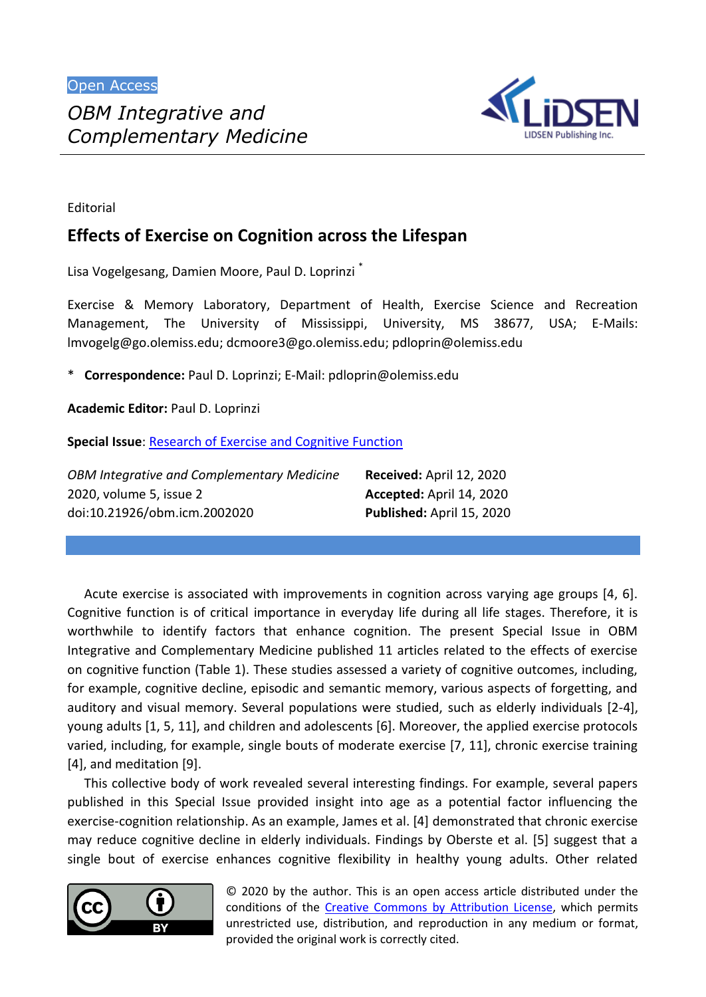

Editorial

## **Effects of Exercise on Cognition across the Lifespan**

Lisa Vogelgesang, Damien Moore, Paul D. Loprinzi \*

Exercise & Memory Laboratory, Department of Health, Exercise Science and Recreation Management, The University of Mississippi, University, MS 38677, USA; E-Mails: lmvogelg@go.olemiss.edu; dcmoore3@go.olemiss.edu; pdloprin@olemiss.edu

\* **Correspondence:** Paul D. Loprinzi; E-Mail: pdloprin@olemiss.edu

**Academic Editor:** Paul D. Loprinzi

**Special Issue**: [Research of Exercise and Cognitive Function](http://www.lidsen.com/journals/icm/icm-special-issues/Res-Exerc-Cogn-Funct)

| <b>OBM Integrative and Complementary Medicine</b> | Received: April 12, 2020  |
|---------------------------------------------------|---------------------------|
| 2020, volume 5, issue 2                           | Accepted: April 14, 2020  |
| doi:10.21926/obm.icm.2002020                      | Published: April 15, 2020 |

Acute exercise is associated with improvements in cognition across varying age groups [4, 6]. Cognitive function is of critical importance in everyday life during all life stages. Therefore, it is worthwhile to identify factors that enhance cognition. The present Special Issue in OBM Integrative and Complementary Medicine published 11 articles related to the effects of exercise on cognitive function (Table 1). These studies assessed a variety of cognitive outcomes, including, for example, cognitive decline, episodic and semantic memory, various aspects of forgetting, and auditory and visual memory. Several populations were studied, such as elderly individuals [2-4], young adults [1, 5, 11], and children and adolescents [6]. Moreover, the applied exercise protocols varied, including, for example, single bouts of moderate exercise [7, 11], chronic exercise training [4], and meditation [9].

This collective body of work revealed several interesting findings. For example, several papers published in this Special Issue provided insight into age as a potential factor influencing the exercise-cognition relationship. As an example, James et al. [4] demonstrated that chronic exercise may reduce cognitive decline in elderly individuals. Findings by Oberste et al. [5] suggest that a single bout of exercise enhances cognitive flexibility in healthy young adults. Other related



© 2020 by the author. This is an open access article distributed under the conditions of the Creative Commons by Attribution License, which permits unrestricted use, distribution, and reproduction in any medium or format, provided the original work is correctly cited.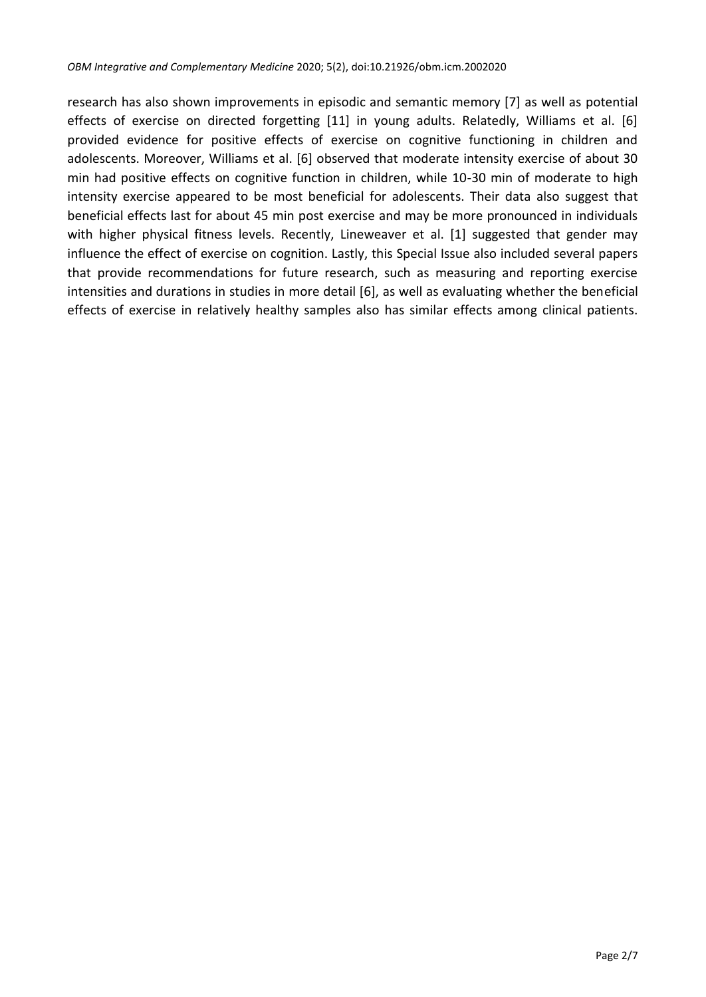research has also shown improvements in episodic and semantic memory [7] as well as potential effects of exercise on directed forgetting [11] in young adults. Relatedly, Williams et al. [6] provided evidence for positive effects of exercise on cognitive functioning in children and adolescents. Moreover, Williams et al. [6] observed that moderate intensity exercise of about 30 min had positive effects on cognitive function in children, while 10-30 min of moderate to high intensity exercise appeared to be most beneficial for adolescents. Their data also suggest that beneficial effects last for about 45 min post exercise and may be more pronounced in individuals with higher physical fitness levels. Recently, Lineweaver et al. [1] suggested that gender may influence the effect of exercise on cognition. Lastly, this Special Issue also included several papers that provide recommendations for future research, such as measuring and reporting exercise intensities and durations in studies in more detail [6], as well as evaluating whether the beneficial effects of exercise in relatively healthy samples also has similar effects among clinical patients.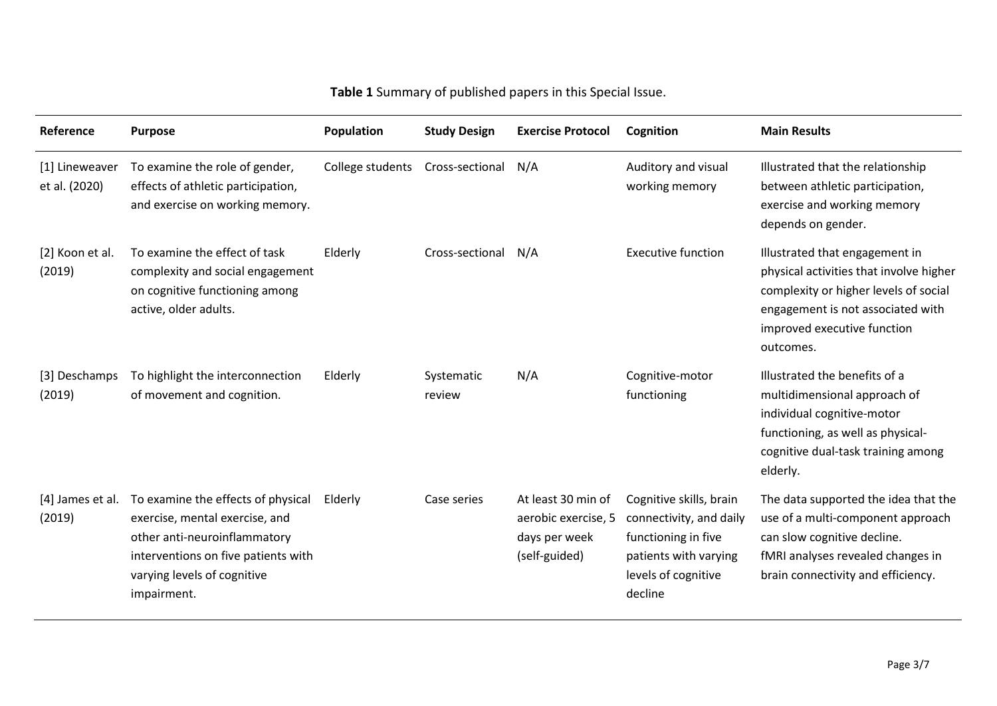# **Table 1** Summary of published papers in this Special Issue.

| Reference                       | <b>Purpose</b>                                                                                                                                                                            | Population       | <b>Study Design</b>  | <b>Exercise Protocol</b>                                                    | Cognition                                                                                                                            | <b>Main Results</b>                                                                                                                                                                                 |
|---------------------------------|-------------------------------------------------------------------------------------------------------------------------------------------------------------------------------------------|------------------|----------------------|-----------------------------------------------------------------------------|--------------------------------------------------------------------------------------------------------------------------------------|-----------------------------------------------------------------------------------------------------------------------------------------------------------------------------------------------------|
| [1] Lineweaver<br>et al. (2020) | To examine the role of gender,<br>effects of athletic participation,<br>and exercise on working memory.                                                                                   | College students | Cross-sectional      | N/A                                                                         | Auditory and visual<br>working memory                                                                                                | Illustrated that the relationship<br>between athletic participation,<br>exercise and working memory<br>depends on gender.                                                                           |
| [2] Koon et al.<br>(2019)       | To examine the effect of task<br>complexity and social engagement<br>on cognitive functioning among<br>active, older adults.                                                              | Elderly          | Cross-sectional      | N/A                                                                         | <b>Executive function</b>                                                                                                            | Illustrated that engagement in<br>physical activities that involve higher<br>complexity or higher levels of social<br>engagement is not associated with<br>improved executive function<br>outcomes. |
| [3] Deschamps<br>(2019)         | To highlight the interconnection<br>of movement and cognition.                                                                                                                            | Elderly          | Systematic<br>review | N/A                                                                         | Cognitive-motor<br>functioning                                                                                                       | Illustrated the benefits of a<br>multidimensional approach of<br>individual cognitive-motor<br>functioning, as well as physical-<br>cognitive dual-task training among<br>elderly.                  |
| [4] James et al.<br>(2019)      | To examine the effects of physical<br>exercise, mental exercise, and<br>other anti-neuroinflammatory<br>interventions on five patients with<br>varying levels of cognitive<br>impairment. | Elderly          | Case series          | At least 30 min of<br>aerobic exercise, 5<br>days per week<br>(self-guided) | Cognitive skills, brain<br>connectivity, and daily<br>functioning in five<br>patients with varying<br>levels of cognitive<br>decline | The data supported the idea that the<br>use of a multi-component approach<br>can slow cognitive decline.<br>fMRI analyses revealed changes in<br>brain connectivity and efficiency.                 |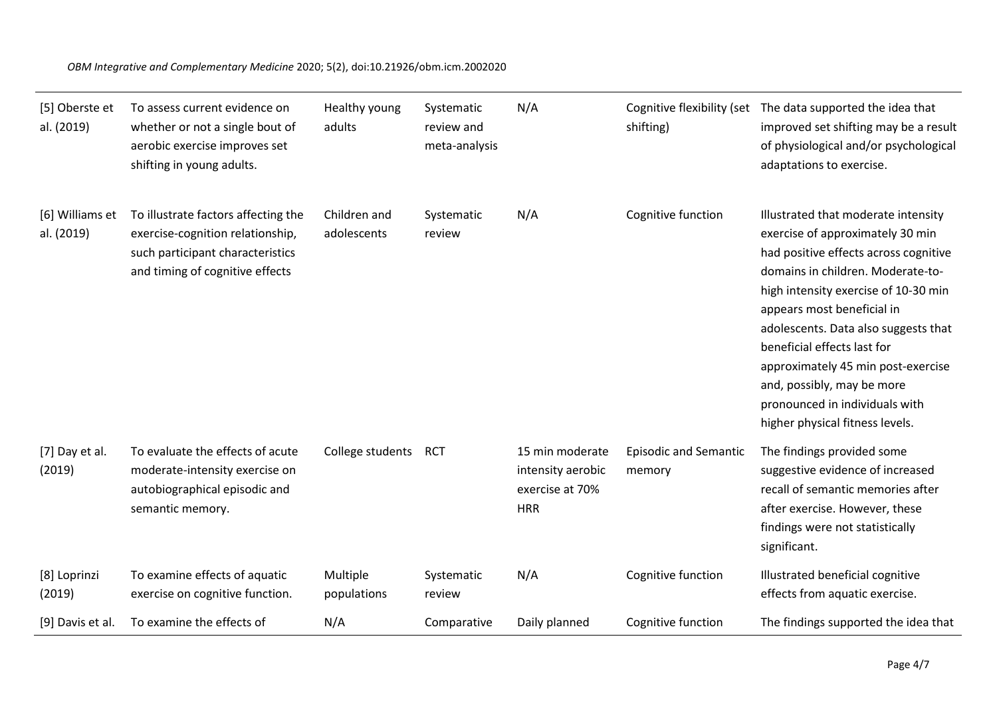#### *OBM Integrative and Complementary Medicine* 2020; 5(2), doi:10.21926/obm.icm.2002020

| [5] Oberste et<br>al. (2019)  | To assess current evidence on<br>whether or not a single bout of<br>aerobic exercise improves set<br>shifting in young adults.                 | Healthy young<br>adults     | Systematic<br>review and<br>meta-analysis | N/A                                                                   | shifting)                              | Cognitive flexibility (set The data supported the idea that<br>improved set shifting may be a result<br>of physiological and/or psychological<br>adaptations to exercise.                                                                                                                                                                                                                                                                   |
|-------------------------------|------------------------------------------------------------------------------------------------------------------------------------------------|-----------------------------|-------------------------------------------|-----------------------------------------------------------------------|----------------------------------------|---------------------------------------------------------------------------------------------------------------------------------------------------------------------------------------------------------------------------------------------------------------------------------------------------------------------------------------------------------------------------------------------------------------------------------------------|
| [6] Williams et<br>al. (2019) | To illustrate factors affecting the<br>exercise-cognition relationship,<br>such participant characteristics<br>and timing of cognitive effects | Children and<br>adolescents | Systematic<br>review                      | N/A                                                                   | Cognitive function                     | Illustrated that moderate intensity<br>exercise of approximately 30 min<br>had positive effects across cognitive<br>domains in children. Moderate-to-<br>high intensity exercise of 10-30 min<br>appears most beneficial in<br>adolescents. Data also suggests that<br>beneficial effects last for<br>approximately 45 min post-exercise<br>and, possibly, may be more<br>pronounced in individuals with<br>higher physical fitness levels. |
| [7] Day et al.<br>(2019)      | To evaluate the effects of acute<br>moderate-intensity exercise on<br>autobiographical episodic and<br>semantic memory.                        | College students            | <b>RCT</b>                                | 15 min moderate<br>intensity aerobic<br>exercise at 70%<br><b>HRR</b> | <b>Episodic and Semantic</b><br>memory | The findings provided some<br>suggestive evidence of increased<br>recall of semantic memories after<br>after exercise. However, these<br>findings were not statistically<br>significant.                                                                                                                                                                                                                                                    |
| [8] Loprinzi<br>(2019)        | To examine effects of aquatic<br>exercise on cognitive function.                                                                               | Multiple<br>populations     | Systematic<br>review                      | N/A                                                                   | Cognitive function                     | Illustrated beneficial cognitive<br>effects from aquatic exercise.                                                                                                                                                                                                                                                                                                                                                                          |
| [9] Davis et al.              | To examine the effects of                                                                                                                      | N/A                         | Comparative                               | Daily planned                                                         | Cognitive function                     | The findings supported the idea that                                                                                                                                                                                                                                                                                                                                                                                                        |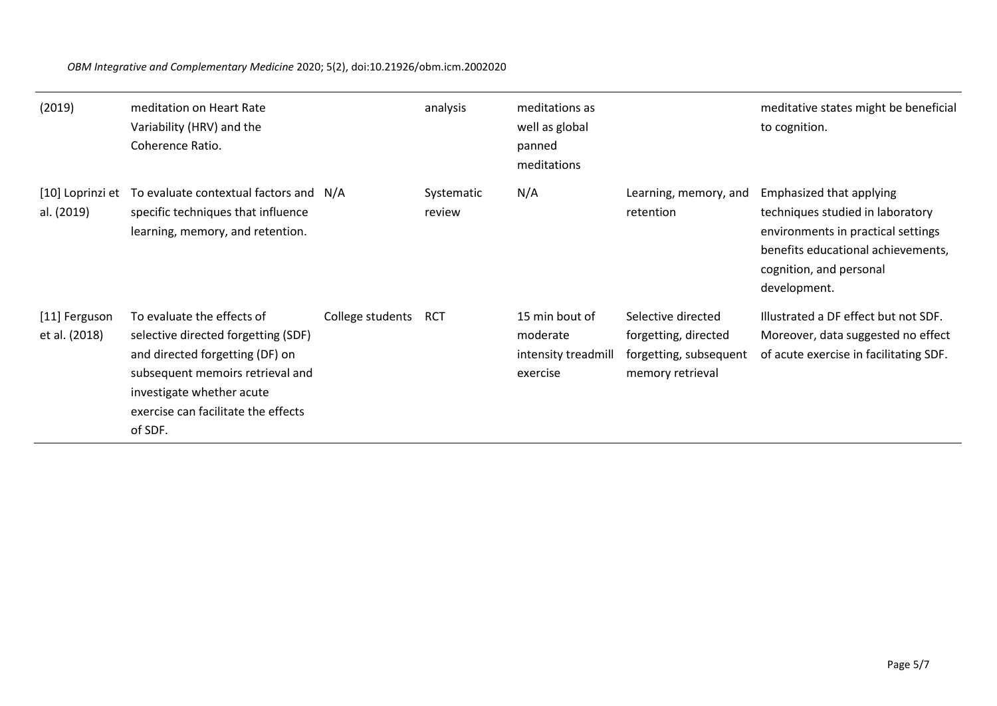*OBM Integrative and Complementary Medicine* 2020; 5(2), doi:10.21926/obm.icm.2002020

| (2019)                         | meditation on Heart Rate<br>Variability (HRV) and the<br>Coherence Ratio.                                                                                                                                               |                  | analysis             | meditations as<br>well as global<br>panned<br>meditations     |                                                                                          | meditative states might be beneficial<br>to cognition.                                                                                                                              |
|--------------------------------|-------------------------------------------------------------------------------------------------------------------------------------------------------------------------------------------------------------------------|------------------|----------------------|---------------------------------------------------------------|------------------------------------------------------------------------------------------|-------------------------------------------------------------------------------------------------------------------------------------------------------------------------------------|
| [10] Loprinzi et<br>al. (2019) | To evaluate contextual factors and N/A<br>specific techniques that influence<br>learning, memory, and retention.                                                                                                        |                  | Systematic<br>review | N/A                                                           | Learning, memory, and<br>retention                                                       | Emphasized that applying<br>techniques studied in laboratory<br>environments in practical settings<br>benefits educational achievements,<br>cognition, and personal<br>development. |
| [11] Ferguson<br>et al. (2018) | To evaluate the effects of<br>selective directed forgetting (SDF)<br>and directed forgetting (DF) on<br>subsequent memoirs retrieval and<br>investigate whether acute<br>exercise can facilitate the effects<br>of SDF. | College students | RCT                  | 15 min bout of<br>moderate<br>intensity treadmill<br>exercise | Selective directed<br>forgetting, directed<br>forgetting, subsequent<br>memory retrieval | Illustrated a DF effect but not SDF.<br>Moreover, data suggested no effect<br>of acute exercise in facilitating SDF.                                                                |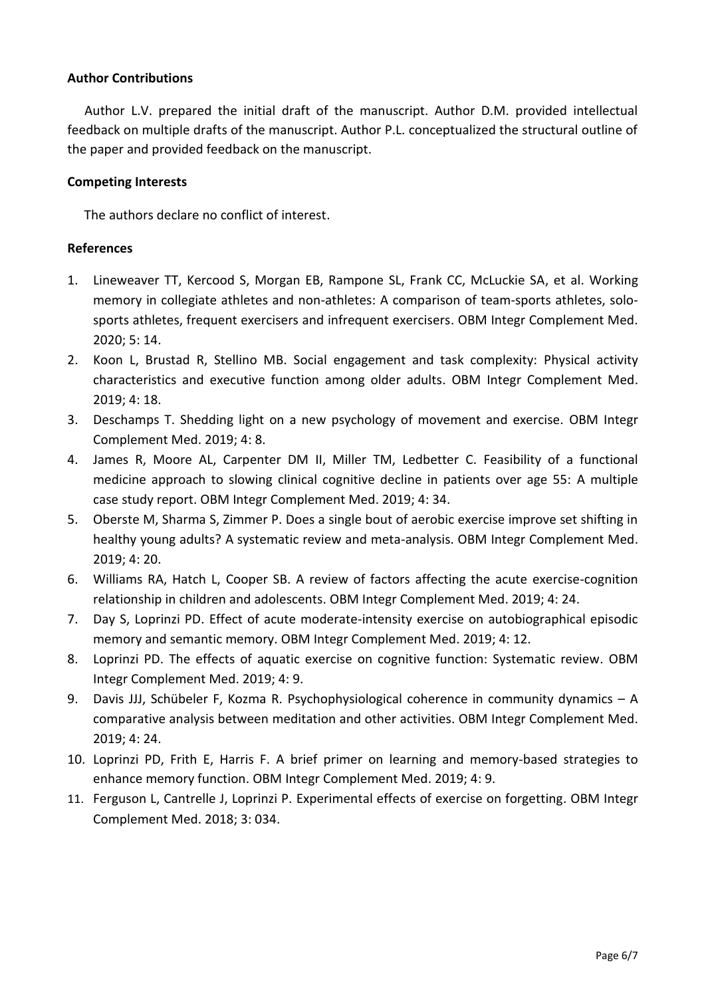### **Author Contributions**

Author L.V. prepared the initial draft of the manuscript. Author D.M. provided intellectual feedback on multiple drafts of the manuscript. Author P.L. conceptualized the structural outline of the paper and provided feedback on the manuscript.

#### **Competing Interests**

The authors declare no conflict of interest.

#### **References**

- 1. Lineweaver TT, Kercood S, Morgan EB, Rampone SL, Frank CC, McLuckie SA, et al. Working memory in collegiate athletes and non-athletes: A comparison of team-sports athletes, solosports athletes, frequent exercisers and infrequent exercisers. OBM Integr Complement Med. 2020; 5: 14.
- 2. Koon L, Brustad R, Stellino MB. Social engagement and task complexity: Physical activity characteristics and executive function among older adults. OBM Integr Complement Med. 2019; 4: 18.
- 3. Deschamps T. Shedding light on a new psychology of movement and exercise. OBM Integr Complement Med. 2019; 4: 8.
- 4. James R, Moore AL, Carpenter DM II, Miller TM, Ledbetter C. Feasibility of a functional medicine approach to slowing clinical cognitive decline in patients over age 55: A multiple case study report. OBM Integr Complement Med. 2019; 4: 34.
- 5. Oberste M, Sharma S, Zimmer P. Does a single bout of aerobic exercise improve set shifting in healthy young adults? A systematic review and meta-analysis. OBM Integr Complement Med. 2019; 4: 20.
- 6. Williams RA, Hatch L, Cooper SB. A review of factors affecting the acute exercise-cognition relationship in children and adolescents. OBM Integr Complement Med. 2019; 4: 24.
- 7. Day S, Loprinzi PD. Effect of acute moderate-intensity exercise on autobiographical episodic memory and semantic memory. OBM Integr Complement Med. 2019; 4: 12.
- 8. Loprinzi PD. The effects of aquatic exercise on cognitive function: Systematic review. OBM Integr Complement Med. 2019; 4: 9.
- 9. Davis JJJ, Schübeler F, Kozma R. Psychophysiological coherence in community dynamics A comparative analysis between meditation and other activities. OBM Integr Complement Med. 2019; 4: 24.
- 10. Loprinzi PD, Frith E, Harris F. A brief primer on learning and memory-based strategies to enhance memory function. OBM Integr Complement Med. 2019; 4: 9.
- 11. Ferguson L, Cantrelle J, Loprinzi P. Experimental effects of exercise on forgetting. OBM Integr Complement Med. 2018; 3: 034.